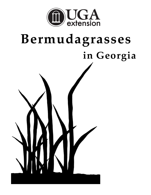

# **Bermudagrasses in Georgia**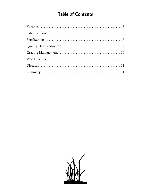# **Table of Contents**

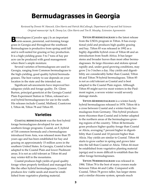# **Bermudagrasses in Georgia**

*Original manuscript by R. Dewey Lee, Glen Harris and Tim R. Murphy, Extension Agronomists Reviewed by Dennis W. Hancock, Glen Harris and Patrick McCullough, Department of Crop and Soil Sciences*

**B**ermudagrass (*Cynodon* spp.) Is an important warm-season, perennial, sod-forming forage grass in Georgia and throughout the southeast. Bermudagrass is productive from spring until fall and is well-suited for grazing or hay production. It is a high-yielding grass: 5 to 7 tons of hay per acre can be produced with good management when there's ample moisture.

Several varieties of bermudagrass are used in Georgia, ranging from Common bermudagrass to the high-yielding, good quality hybrid bermudagrasses. The best variety to use depends on your location in the state and the intended use.

Significant advancements have improved berudagrass yields and forage quality. Dr. Glenn Burton, principal geneticist at the Georgia Coastal Plain Experiment Station in Tifton, released several hybrid bermudagrasses for use in the south. His releases include Coastal, Midland, Coastcross I, Tifton 44, Tifton 78 and Tifton 85.

### **Varieties**

**COASTAL BERMUDAGRASS** was the first hybrid forage bermudagrass developed for use in southern forage programs. Coastal, an  $F_1$  hybrid of Tift common bermuda and a bermudagrass introduced from Asia, was released more than 55 years ago and has been established for hay and grazing on approximately 15 million acres in the southern United States. In Georgia, Coastal is best adapted to the Coastal Plain and lower Piedmont areas. It is not as cold tolerant as Tifton 44 and may winter-kill in the mountains.

Coastal produces high yields of good quality forage when properly fertilized and managed but, like the other hybrid bermudagrasses, Coastal produces few viable seeds and must be established from vegetative planting material.

**TIFTON 85 BERMUDAGRASS** is the latest release from the USDA program in Tifton. It has exceptional yield and produces high quality grazing and hay. Tifton 85 was released in 1992 as a highly digestible hybrid cross of Tifton 68 and an introduction from South Africa. It has larger stems and broader leaves than most other bermudagrasses. Its large rhizomes and stolons spread rapidly and, under good growing conditions, may grow 2 to 3 inches a day. Hay yields and digestibility are considerably better than Coastal, Tifton 44 and Tifton 78 hybrid bermudagrass. Tifton 85 is not as cold tolerant as Coastal and is best adapted to the Coastal Plain region. Although Tifton 85 might survive most winters in the Piedmont region, a severe winter would severely damage stands.

**TIFTON 44 BERMUDAGRASS** is a winter-hardy hybrid bermudagrass released in 1978. Tifton 44 is a cross between Coastal and a winter-hardy bermudagrass from Germany. This hybrid produces more rhizomes than Coastal and is better adapted to the northern areas of the bermudagrass growing regions of the country. Tifton 44 bermudagrass produces higher quality forage than Coastal or Alicia, averaging 7 percent higher in digestibility than Coastal and 10 percent higher than Alicia. Hay yields are similar to Coastal. Tifton 44 starts to grow earlier in spring and grows later into the fall than Coastal or Alicia. Tifton 44 must be established from vegetative planting material (sprigs) and is more difficult to establish than the other forage bermudagrasses.

**TIFTON 78 BERMUDAGRASS** was released in 1984. Tifton 78 is the best of many crosses made between Tifton 44 and Callie. Compared with Coastal, Tifton 78 grows taller, has larger stems and a similar rhizome system, spreads much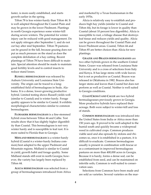faster, is more easily established, and starts growth earlier in the spring.

Tifton 78 is less winter-hardy than Tifton 44. It is well adapted throughout the Coastal Plain and may be grown in the lower Piedmont. Plantings in north Georgia experience some winter-kill during severe winters. The potential for winter injury can be reduced with good management. Do not apply nitrogen after September 1, and do not cut hay after mid September. Tifton 78 pastures can be grazed in the fall, because grazing does not put as much pressure on the stand as does the complete defoliation of a hay cutting. Recent plantings of Tifton 78 have been difficult to maintain. Special attention should be made to maintain good fertility levels and to control insects to reduce stand losses.

**RUSSELL BERMUDAGRASS** was released by Auburn University and Louisiana State University. The origin can be traced to a longestablished field of bermudagrass in Seale, Alabama. It is a dense, lower-growing productive hybrid. Limited testing shows Russell yields well (similar to Coastal) and is winter hardy. Forage quality appears to be similar to Coastal. It exhibits morphological characteristics similar to common bermudagrass.

**FLORAKIRK BERMUDAGRASS** is a fine-stemmed hybrid cross between Tifton 44 and Callie. Test results show that it has slightly higher digestibility than Coastal. This bermudagrass is not very winter hardy and is susceptible to leaf rust. It is more suited to Florida than to Georgia.

**MIDLAND BERMUDAGRASS** is a winter-hardy hybrid (Coastal x a winter-hardy Indiana common) best adapted to the upper Piedmont and Mountain regions. Midland is similar to Coastal in yield, growth habit and forage quality. Some Midland stands still exist in north Georgia; however, the variety has largely been replaced by Tifton 44.

**ALICIA BERMUDAGRASS** was selected from a group of bermudagrasses introduced from Africa and marketed by a Texas businessman in the early 1970s.

Alicia is relatively easy to establish and produces high hay yields (similar to Coastal and Tifton 44), but its forage is lower in quality than Coastal (about 10 percent less digestible). Alicia is susceptible to rust, a foliage disease that destroys leaf tissue and reduces yields and quality. Alicia can be grown throughout the Coastal Plain and lower Piedmont areas. Coastal, Tifton 44 and Tifton 85 are better choices than Alicia for new plantings.

**GRAZER AND BRAZOS BERMUDAGRASSES** are two other hybrids grown in the southern United States. Grazer was released from Louisiana State University and is a cross of selections from Italy and Kenya. It has large stems with wide leaves but is not as productive as Coastal. Brazos was released in Oklahoma in 1982. Brazos also has larger stems and leaves than Coastal but does not perform as well as Coastal. Neither is well suited to Georgia conditions.

**COASTCROSS I AND CALLIE** are two hybrid bermudagrasses previously grown in Georgia. More productive hybrids have replaced their acreage. Both were subject to winter-kill and loss of stands.

**COMMON BERMUDAGRASS** was introduced into the United States from India or Africa more than 150 years ago. It proved to be well-adapted to the humid south and quickly became a widespread weed in cultivated crops. Common produces viable seed and also spreads by stolons and rhizomes so, once it is established in a pasture, it is difficult to eradicate. Common bermudagrass usually is present in combination with fescue or as a contaminant in improved bermudagrass pastures on more than 400,000 acres in Georgia. Because it is hardy, forms a dense sod, can be established from seed, and can be maintained on infertile soils, Common is well-suited to conservation uses.

Selections from Common have been made and are sold as varieties. Several varieties on the mar-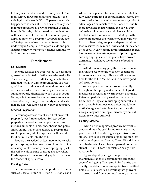ket may also be blends of different types of Common. Although Common does not usually provide high yields – only 50 to 60 percent as much hay per acre as Coastal – it can be effectively used in forage programs to provide summer grazing. In north Georgia, it is best used in combination with fescue and clover. Seed Common in spring (April to June) on a prepared seedbed at the rate of 5 to 8 pounds of seed per acre. Research is underway in Georgia to compare yields and persistence of newly-marketed varieties with the hybrid bermudagrasses.

### **Establishment**

### **Soil Selection**

Bermudagrasses are deep-rooted, sod-forming grasses best adapted to fertile, well-drained soils. They can be grown in north Georgia on bottom land that floods in winter provided the soil has good internal drainage and water does not stand on the soil surface for several days. They are not suited to poorly-drained flatwood soils in south Georgia, but because bermudagrasses use water efficiently, they can grow on sandy upland soils that are not well-suited for row crop production.

### **Seedbed Preparation**

Bermudagrasses is established best on a wellprepared, weed-free seedbed. Soil test before preparing the seedbed and apply the recommended amounts of lime, phosphorus and potassium. Tilling, which is necessary to prepare the soil for planting, will incorporate the lime and fertilizer nutrients into the soil.

Prepare the seedbed at least two to four weeks prior to sprigging to allow the soil to settle. If it is necessary to plow shortly before sprigging, pack the soil by cultipacking or using a heavy roller. Freshly-plowed coarse soils dry quickly, reducing the chance of sprig survival.

### **Planting Dates**

Bermudagrass varieties that produce rhizomes such as Coastal, Tifton 85, Tifton 44, Tifton 78 and Alicia can be planted from late January until late July. Early sprigging of bermudagrass (before the grass breaks dormancy) has some very significant advantages. Soil moisture conditions are usually more favorable in late winter, and sprigs dug before breaking dormancy will have a higher level of stored food reserves to initiate growth once temperatures are warm enough for growth to occur. Bermudagrass plants depend on stored food reserves for winter survival and for the energy to grow in early spring until sufficient leaf area has developed to sustain growth. Sprigs dug in early spring – just after the plants have broken dormancy – will have lower levels of food reserves.

With dormant sprigging, the rhizomes are in the soil and ready to grow as soon as temperatures are warm enough. This also allows more time for the soil to "settle" and to achieve good soil-sprig contact.

You can plant bermudagrass successfully throughout the spring and summer, but good moisture is essential for warm season plantings. Extended periods of dry weather that may occur from May to July can reduce sprig survival and plant growth. Plantings made after late July in north Georgia and after late August in south Georgia may not develop a rhizome system sufficient for winter survival.

### **Planting Material**

Hybrid bermudagrasses produce few viable seeds and must be established from vegetative plant material. Freshly dug sprigs (rhizomes or stolons) are your best source of planting stock for the bermudagrasses. Coastal, Tifton 85 and Alicia can also be established from topgrowth (mature stems). Tifton 44 does not establish easily from topgrowth.

Dig good quality sprigs from pure, wellmaintained stands of bermudagrass and plant soon after digging. To ensure hybrid purity and quality, consider purchasing sprigs from certified fields. A list of certified bermudagrass growers can be obtained from your local county extension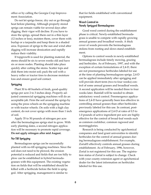office or by calling the Georgia Crop Improvement Association.

Do not let sprigs freeze, dry out or go through heat before planting. Although properly stored sprigs can remain viable for several days after digging, their vigor will decline. If you have to store the sprigs, spread them out in a thin layer (12 inches or less), moisten them, cover them with burlap or a tarpaulin and keep them in a shaded area. Exposure of sprigs to the sun and wind after digging will increase dessication and rapidly reduce their viability.

If topgrowth is used for planting material, the stems should be six to seven weeks old and have six or more nodes. Planting should take place quickly after cutting the stems. Scatter tops and disk them into moist soil; pack the soil with a heavy roller or tractor tires to decrease moisture loss and ensure good soil contact.

### **Sprigging**

Plant 30 to 40 bushels of fresh, good-quality sprigs per acre 2 to 3 inches deep. Properly adjusted commercial sprigging machines will do an acceptable job. Firm the soil around the sprigs by using the press wheels on the sprigging machine or with tractor wheels. On soils with a high clay content, do not cover sprigs with more than 1 inch of soil.

Apply 35 to 50 pounds of nitrogen per acre after the bermudagrass sprigs start to grow. With early planting dates, a second nitrogen application will be necessary to promote rapid coverage. **Do not apply nitrogen after mid August.**

### **No-Till Sprigging**

Bermudagrass sprigs can be successfully planted with no-till sprigging machines. Since the soil does not need to be plowed, the erosion potential is reduced and fields that are too hilly to plow can be established in hybrid bermudagrasses with this equipment. The existing vegetation on fields that will be established should be killed with a herbicide before the field is sprigged. After sprigging, management is similar to

that for fields established with conventional equipment.

### **Weed Control in Newly Sprigged Bermudagrass**

Good weed control during the establishment phase is critical. Newly-established bermudagrass is unable to compete with rapidly growing annual grasses and broadleaf weeds. A thick cover of weeds prevents the bermudagrass stolons from rooting and slows stand establishment.

Options to control weeds in newly-established bermudagrass include timely mowing, grazing and herbicides. As of February, 1997, and with the exception of certain formulations of 2,4-D, there are not preemergence herbicides labeled for use at the time of planting bermudagrass sprigs. 2,4-D can be applied immediately after sprigging and will provide short-term (two to four weeks) control of some annual grasses and broadleaf weeds. A second application will be needed three to four weeks later. Rainfall will be needed to obtain satisfactory weed control. Preemergence applications of 2,4-D have generally been less effective in controlling annual grasses than other herbicides previously labeled for this use. In contrast, postemergence applications of 2,4-D at rates of 0.5 to 1.0 pounds of active ingredient per acre are highly effective for the control of broad-leaf weeds such as common cocklebur, common ragweed and morningglories.

Research is being conducted by agrichemical companies and land grant universities to identify herbicides for the control of annual grasses during bermudagrass establishment. For example, Zorial® effectively controls annual grasses during establishment. As of February, 1996, however, Zorial is not registered for this use. The registration status of Zorial is subject to change. Check with your county extension agent or agrichemical dealer for the latest information on herbicides labeled for this use.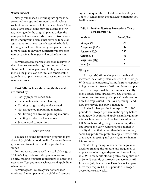### **Winter Survival**

Newly-established bermudagrass spreads as stolons (above-ground runners) and develops roots at nodes on stems to form new plants. These new plants and stolons may die during the winter, leaving only the original plants, unless the new plants have formed rhizomes. Rhizomes are large underground stems that serve as food storage organs and as sources of vegetative buds for forming a thick sod. Bermudagrass planted early is more likely to develop sufficient rhizomes for winter survival than grass planted in late summer.

Bermudagrasses start to store food reserves in the rhizome system during late summer. You should not cut new plantings for hay in late summer, so the plants can accumulate considerable growth to supply the food reserves necessary for winter survival.

**Most failures in establishing fields usually are caused by:**

- Poorly prepared seeds bed.
- Inadequate moisture at planting.
- Planting sprigs too dry or desiccated.
- Not using enough planting material.
- Not firming soil around planting material.
- Planting too deep or too shallow.
- Severe weed competition.

### **Fertilization**

You need a sound fertilization program to produce high yields of good quality forage for hay or grazing and to maintain healthy, productive stands.

Bermudagrass grows well at a soil pH range of 5.5 to 6.5. High rates or nitrogen increase soil acidity, making frequent applications of limestone necessary. Test your soil each year and apply lime when needed.

Bermudagrass is a heavy user of fertilizer nutrients. A 6-ton per acre hay yield will remove significant quantities of fertilizer nutrients (see Table 1), which must be replaced to maintain soil fertility levels.

| Table 1. Fertilizer Nutrients Removed in 6 Tons of<br>Bermudagrass Hay |  |  |  |  |
|------------------------------------------------------------------------|--|--|--|--|
| Pounds/Acre                                                            |  |  |  |  |
| 300                                                                    |  |  |  |  |
| 84                                                                     |  |  |  |  |
| 252                                                                    |  |  |  |  |
| 36                                                                     |  |  |  |  |
| 27                                                                     |  |  |  |  |
| 77                                                                     |  |  |  |  |
|                                                                        |  |  |  |  |

### **Nitrogen**

Nitrogen (N) stimulates plant growth and increases the crude protein content of the forage. With adequate moisture, bermudagrass responds to high rates of nitrogen fertilizer. Several applications of nitrogen will be used more efficiently than a single large application. The quantity of nitrogen and frequency of application depend on how the crop is used – for hay or grazing – and how intensively the crop is managed.

N rates for hay production: Apply 75 to 100 pounds of nitrogen per acre in the spring before rapid growth begins and apply a similar quantity after each harvest except the last harvest in the fall. Since bermudagrass grows more rapidly in late spring and early summer and is higher in quality during that period than in late summer, some hay producers prefer to apply heavier rates of nitrogen in spring and early summer than in late summer.

N rates for grazing: When bermudagrass is used for grazing, the amount and frequency of application of nitrogen depend on the stocking rate. With moderate stocking rates, an application of 50 to 75 pounds of nitrogen per acre in April, June and July is adequate. Heavily stocked pastures may require 60 to 80 pounds of nitrogen every four to six weeks.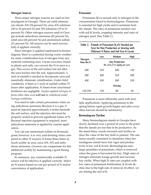### **Nitrogen Sources**

Three major nitrogen sources are used on bermudagrass in Georgia. These are solid ammonium nitrate AN (34 percent N), urea-AN solutions (30 to 32 percent N) and AN solutions (19 to 21 percent N). Other nitrogen sources used in Georgia include anhydrous ammonia (82 percent N), solid urea (46 percent N) and ammonium sulfate (21 percent N). All sources can be used successfully if applied correctly.

Since nitrogen is applied topdressed to bermudagrass, there is a potential during warm weather for some volatilization loss of nitrogen from any material containing urea. Urease enzymes, found in plants and soils, can convert the N in urea to a gas. This occurs at the soil surface but not after the urea leaches into the soil. Approximately  $\frac{1}{4}$ inch of rainfall is needed to incorporate urea and essentially eliminate volatilization. Under field conditions, if there is ½ inch of rainfall within 72 hours after application, N losses from urea-based fertilizers are negligible. *Surface-applied nitrogen in forms other than urea will not be volatilized under Georgia conditions.*

You need to take certain precautions when using anhydrous ammonia. Because it is a gas, it must be injected approximately 6 inches beneath the soil surface, and the injection slot must be properly sealed to prevent significant losses of N. Because injection equipment is required, most anhydrous ammonia is applied by custom applicators.

You can use ammonium sulfate on bermudagrass; however, it is very acid-forming when compared to other N sources. It forms three times as much acidity as urea, urea-AN, AN and anhydrous ammonia. Growers can compensate for this additional acidity by maintaining a good liming program.

In summary, any commercially available N source will be effective if applied correctly. Select an N source based on cost per pound of N and/or convenience of application.

### **Potassium**

Potassium (K) is second only to nitrogen in the concentration found in bermudagrass. Potassium is essential for high yields and to maintain healthy stands. The rates of potassium needed vary with soil K levels, cropping intensity and rates of nitrogen used. (See Table 2.)

| Table 2. Pounds of Potassium $(K, O)$ Needed per<br>Acre for Hay Production or Grazing with<br>Different N Rates and Soil Test K Levels |                                                      |        |      |  |  |  |
|-----------------------------------------------------------------------------------------------------------------------------------------|------------------------------------------------------|--------|------|--|--|--|
| Nitrogen<br>Rate lbs/A                                                                                                                  | Low                                                  | Medium | High |  |  |  |
|                                                                                                                                         | Hay Production<br>Ibs of $K$ , $O$ to apply per acre |        |      |  |  |  |
| 200                                                                                                                                     | 250                                                  | 200    | 150  |  |  |  |
| 300                                                                                                                                     | 300                                                  | 250    | 200  |  |  |  |
| 400                                                                                                                                     | 350                                                  | 300    | 250  |  |  |  |
| Grazing                                                                                                                                 |                                                      |        |      |  |  |  |
| 150-250                                                                                                                                 | 120                                                  | 60     | 30   |  |  |  |

Potassium is more efficiently used with multiple applications. Applying potassium in the spring before rapid growth begins and after every other harvest should be satisfactory.

### **Bermudagrass Decline**

Many bermudagrass stands in Georgia have slowly declined over a period of years to the point that the stands are too thin to be productive. As the stand thins, weeds encroach and further reduce the value of the hay field or pasture. The one factor usually consistent in situations when bermudagrass stands have lost vigor and productivity is low soil K levels. Bermudagrass uses large quantities of potassium, which is removed when the grass is harvested for hay. High rates of nitrogen stimulate forage growth and increase hay yields. When high N rates are coupled with low rates of potassium fertilization, K levels decline due to the high rate of removal. In effect, we are mining the soil of K.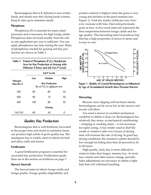Bermudagrass that is K deficient is less winterhardy and stands may thin during harsh winters. Keep K rates up to maintain stands.

### **Phosphorus**

Phosphorus (P) is essential for many plant processes and is necessary for high forage yields. Phosphorus does not leach readily from the soil, so one application per year is sufficient. You can apply phosphorus any time during the year. Rates of phosphorus needed for grazing and hay production are shown in Table 3.

| Table 3. Pound of Phosphorus $(P, O_5)$ Needed per |
|----------------------------------------------------|
| Acre for Hay Production or Grazing with            |
| Different N Rates and Soil Test P Levels           |
|                                                    |

|                        | Soil P Levels                                              |        |      |  |
|------------------------|------------------------------------------------------------|--------|------|--|
| Nitrogen<br>Rate lbs/A | Low                                                        | Medium | High |  |
|                        | <b>Hay Production</b><br>Ibs of $P_2O_5$ to apply per acre |        |      |  |
| 200                    | 80                                                         | 60     | 30   |  |
| 300                    | 90                                                         | 70     | 40   |  |
| 400                    | 100                                                        | 80     | 50   |  |
|                        | Grazing                                                    |        |      |  |
| 150-250                | 60                                                         | 30     | O    |  |

### **Quality Hay Production**

Bermudagrass that is well fertilized, harvested at the proper time and stored to minimize losses can produce high yields of good quality hay. Bermudagrass hay is widely used in rations for beef and dairy cattle and horses.

### **Fertilization**

A good fertilization program is essential for successful hay production. Fertilization guidelines are in the section on fertilizers on page 7.

### **Harvest Intervals**

The harvest interval affects forage yields and forage quality. Forage quality (digestibility and

protein content) is highest when the grass is very young and declines as the grass matures (see Figure 1). Total dry matter yields per acre, however, increase with time. Harvesting bermudagrass at four- to five-week intervals represents the best compromise between forage yields and forage quality. This harvesting interval produces hay that has a high proportion of leaves to stems and is easy to cure.



**Figure 1. Quality of Coastal Bermudagrass as Influenced by Age of Accumulated Growth Since Previous Harvest**

### **Harvesting**

Because close clipping will not harm stands, bermudagrass can be cut as low as the mower and terrain will allow.

You need a mower in excellent mechanical condition to obtain a clean cut. Bermudagrass has relatively fine stems, so mechanical conditioning – crimping or crushing stems – is not necessary for rapid curing. A hay tedder used to fluff the swath or windrow after 4 to 6 hours of drying time will increase the rate of drying. In good hay drying conditions, the moisture content should be low enough for baling (less than 20 percent) in 24 to 36 hours.

High quality, leafy hay is more difficult to retain in bales than longer, stemmy hay. As moisture content and other factors change, periodic baler adjustments are necessary to obtain a tight bale that will withstand handling.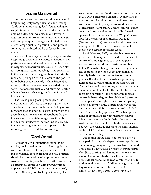### **Grazing Management**

Bermudagrass pastures should be managed to keep young, leafy forage available for grazing. Cattle consuming young, leafy forage will gain weight faster and produce more milk than cattle grazing older, stemmy grass that is lower in digestibility and protein content. Animal weight gains on poor quality forage are limited by reduced forage quality (digestibility and protein content) and reduced intake of forage by the animal.

You should manage bermudagrass pastures to keep forage growth 2 to 4 inches in height. When pastures are understocked, a tall growth of bermudagrass will accumulate. Cattle will then start to "spot graze," continuously grazing small areas in the pasture where the grass is kept shorter by repeated grazings. When this occurs, the pasture is not being used efficiently. When Tifton 85 is grazed, different management is needed. Tifton 85 will be more productive and carry more cattle when at least 4 inches of growth is maintained in the pasture.

The key to good grazing management is matching the stock rate to the grass growth rate. Since bermudagrass growth is affected by moisture, fertilization and the season of the year, the growth rate is not constant throughout the grazing season. To maintain forage growth within the desired limits, vary the stocking rate by adding or removing animals from a pasture or by reducing the area available for grazing.

### **Weed Control**

A vigorous, well-maintained stand of bermudagrass is the first line of defense against a weed infestation. Cultural practices such as liming, fertilizing, proper grazing and hay practices should be closely followed to promote a dense cover of bermudagrass. Most broadleaf weeds can be effectively controlled with properly timed applications of 2,4-D (numerous trade names), dicamba (Banvel) and triclopyr (Remedy). Twoway mixtures of 2,4-D and dicamba (Weedmaster) or 2,4-D and picloram (Grazon P+D) may also be used to control a wide spectrum of broadleaf weeds in bermudagrass pastures and hay fields. Metsulfuron (Ally) can be used to control "Pensacola" bahiagrass and several broadleaf weed species. If necessary, hexazinone (Velpar) is available for the control of smutgrass. Paraquat (Gramaxone Extra) can be used on dormant bermudagrass for the control of winter annual grasses and certain broadleaf weeds.

As of February, 1997, no selective preemergence or postemergence herbicides are labeled for control of annual grasses such as crabgrass, goosegrass and sandbur in pastures and hay fields. Research is being conducted by agrichemical companies and land grant universities to identify herbicides for the control of annual grasses. Results of this research are promising. Refer to the current edition of the *Georgia Pest Control Handbook,* your county extension agent or an agrichemical dealer for the latest information regarding herbicides labeled for annual grass control in bermudagrass hay fields and pastures. Spot applications of glyphosate (Roundup) may be used to control annual grasses; however, the bermudagrass will be severely injured or killed in areas treated with glyphosate. Wick-bar applications of glyphosate are very useful to control johnsongrass in hay fields. Delay the use of the wick-bar until a suitable height difference exists between the bermudagrass and the johnsongrass so the wick-bar does not come in contact with the bermudagrass foliage.

Depending on the herbicide, there if often a time period that much elapse between application and animal grazing or hay removal from the field. This period is known as a *grazing or haying restriction.* Since grazing and haying restrictions vary among the various herbicides, the individual herbicide label should be read carefully and fully understood before use. Additionally, grazing and haying restrictions are also shown in the current edition of the *Georgia Pest Control Handbook.*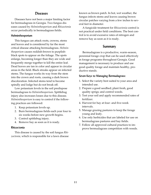### **Diseases**

Diseases have not been a major limiting factor for bermudagrass in Georgia. Two fungus diseases caused by *Helminthosporium* and *Rhizoctonia* occur periodically in bermudagrass fields.

### **Helminthosporium**

This fungus can attack roots, crowns, stems and leaves and is considered by far the most critical disease attacking bermudagrass. *Helminthosporium* causes reddish-brown to purplishblack spots to appear on the foliage. The spots enlarge, becoming longer than they are wide and frequently merge together to kill the entire leaf. Dead leaves are tan in color and appear in circular areas in the field. Black streaks appear on infected stems. The fungus works its way from the stem into the crown and roots, causing a dark brown discoloration. Infected stems tend to become spindly and lodge but do not break off.

Low potassium levels in the soil predispose bermudagrass to *Helminthosporium*. Spittlebug injury also increases losses due to this disease. *Helminthosporium* is easy to control if the following practices are followed:

- 1. Keep potassium levels up.
- 2. Burn bermudagrass fields each year four to six weeks before new growth begins.
- 3. Control spittlebug injury.
- 4. Remove hay as soon as it is ready.

### **Rhizoctonia**

This disease is caused by the soil fungus *Rhizoctonia,* which is responsible for a lawn disease known as brown patch. In hot, wet weather, the fungus infects stems and leaves causing brown circular patches varying from a few inches to several feet in diameter.

A fungicide treatment for *Rhizoctonia* control is not practical under field conditions. The best control is to avoid excessive rates of nitrogen and remove hay as soon as it is ready.

### **Summary**

Bermudagrass is a productive, warm-season, perennial forage crop that can be used effectively in forage programs throughout Georgia. Good management is necessary to produce and use good quality forage and maintain healthy, productive stands.

### **Seven Keys to Managing Bermudagrass:**

- 1. Select the variety best suited to your area and intended use.
- 2. Prepare a good seedbed; plant fresh, good quality sprigs; and control weeds.
- 3. Test your soil and apply recommended rates of fertilizer.
- 4. Harvest for hay at four- and five-week intervals.
- 5. Manage grazing pastures to keep the forage young and leafy.
- 6. Use only herbicides that are labeled for use on bermudagrass pastures and hay fields.
- 7. Follow all approved cultural practices to improve bermudagrass competition with weeds.